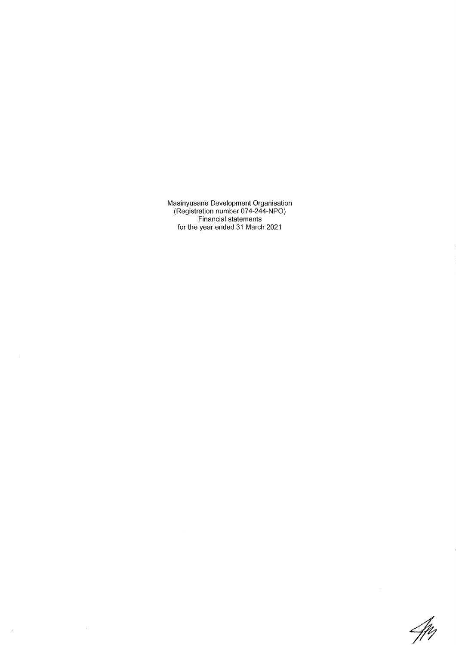$\hat{\mathcal{A}}$ 

Im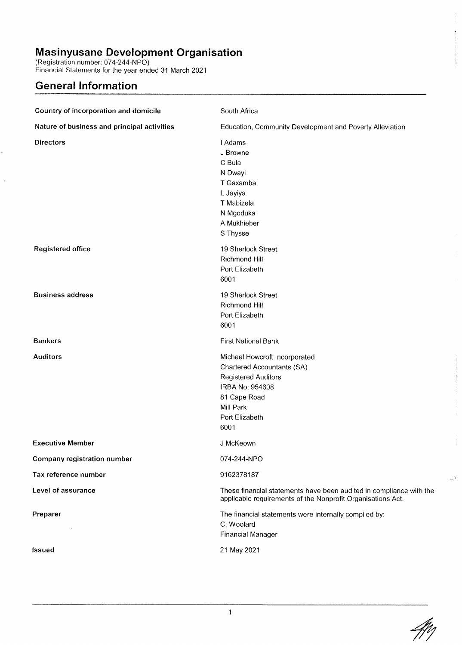# **General Information**

| Country of incorporation and domicile       | South Africa                                                                                                                                                        |
|---------------------------------------------|---------------------------------------------------------------------------------------------------------------------------------------------------------------------|
| Nature of business and principal activities | Education, Community Development and Poverty Alleviation                                                                                                            |
| <b>Directors</b>                            | I Adams<br>J Browne<br>C Bula<br>N Dwayi<br>T Gaxamba<br>L Jayiya<br>T Mabizela<br>N Mgoduka<br>A Mukhieber<br>S Thysse                                             |
| Registered office                           | 19 Sherlock Street<br>Richmond Hill<br>Port Elizabeth<br>6001                                                                                                       |
| <b>Business address</b>                     | 19 Sherlock Street<br>Richmond Hill<br>Port Elizabeth<br>6001                                                                                                       |
| <b>Bankers</b>                              | <b>First National Bank</b>                                                                                                                                          |
| <b>Auditors</b>                             | Michael Howcroft Incorporated<br>Chartered Accountants (SA)<br><b>Registered Auditors</b><br>IRBA No: 954608<br>81 Cape Road<br>Mill Park<br>Port Elizabeth<br>6001 |
| <b>Executive Member</b>                     | J McKeown                                                                                                                                                           |
| Company registration number                 | 074-244-NPO                                                                                                                                                         |
| Tax reference number                        | 9162378187                                                                                                                                                          |
| Level of assurance                          | These financial statements have been audited in compliance with the<br>applicable requirements of the Nonprofit Organisations Act.                                  |
| Preparer                                    | The financial statements were internally compiled by:<br>C. Woolard<br><b>Financial Manager</b>                                                                     |
| Issued                                      | 21 May 2021                                                                                                                                                         |
|                                             |                                                                                                                                                                     |

UR.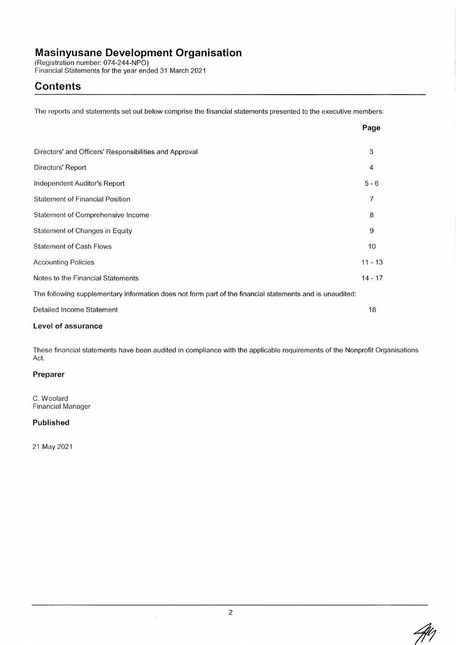# **Masinyusane Development Organisation**<br>(Registration number: 074-244-NPO)

Financial Statements for the year ended 31 March 2021

## **Contents**

The reports and statements set out below comprise the financial statements presented to the executive members:

|                                                                                                          | Page      |
|----------------------------------------------------------------------------------------------------------|-----------|
| Directors' and Officers' Responsibilities and Approval                                                   | 3         |
| Directors' Report                                                                                        | 4         |
| Independent Auditor's Report                                                                             | $5 - 6$   |
| <b>Statement of Financial Position</b>                                                                   | 7         |
| Statement of Comprehensive Income                                                                        | 8         |
| <b>Statement of Changes in Equity</b>                                                                    | 9         |
| <b>Statement of Cash Flows</b>                                                                           | 10        |
| <b>Accounting Policies</b>                                                                               | $11 - 13$ |
| Notes to the Financial Statements                                                                        | $14 - 17$ |
| The following supplementary information does not form part of the financial statements and is unaudited: |           |
| Detailed Income Statement                                                                                | 18        |
| Level of assurance                                                                                       |           |

These financial statements have been audited in compliance with the applicable requirements of the Nonprofit Organisations

### Preparer

Act.

C. Woolard **Financial Manager** 

## Published

21 May 2021

 $\bar{z}$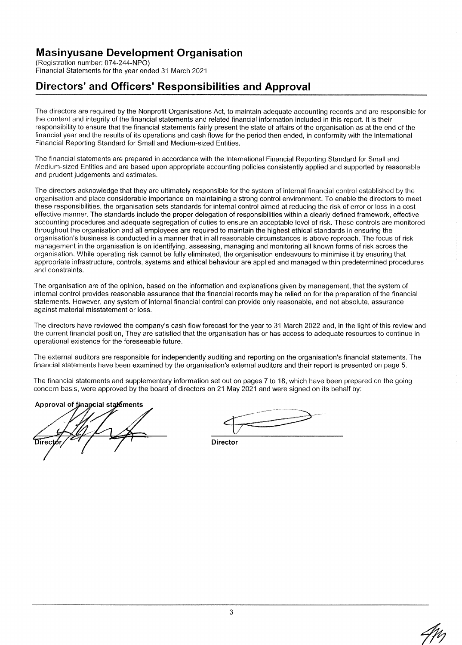(Registration number: 074-244-NPO) Financial Statements for the year ended 31 March 2021

## Directors' and Officers' Responsibilities and Approval

The directors are required by the Nonprofit Organisations Act, to maintain adequate accounting records and are responsible for the content and integrity of the financial statements and related financial information included in this report. It is their responsibility to ensure that the financial statements fairly present the state of affairs of the organisation as at the end of the financial year and the results of its operations and cash flows for the period then ended, in conformity with the International Financial Reporting Standard for Small and Medium-sized Entities.

The financial statements are prepared in accordance with the International Financial Reporting Standard for Small and Medium-sized Entities and are based upon appropriate accounting policies consistently applied and supported by reasonable and prudent judgements and estimates.

The directors acknowledge that they are ultimately responsible for the system of internal financial control established by the organisation and place considerable importance on maintaining a strong control environment. To enable the directors to meet these responsibilities, the organisation sets standards for internal control aimed at reducing the risk of error or loss in a cost effective manner. The standards include the proper delegation of responsibilities within a clearly defined framework, effective accounting procedures and adequate segregation of duties to ensure an acceptable level of risk. These controls are monitored throughout the organisation and all employees are required to maintain the highest ethical standards in ensuring the organisation's business is conducted in a manner that in all reasonable circumstances is above reproach. The focus of risk management in the organisation is on identifying, assessing, managing and monitoring all known forms of risk across the organisation. While operating risk cannot be fully eliminated, the organisation endeavours to minimise it by ensuring that appropriate infrastructure, controls, systems and ethical behaviour are applied and managed within predetermined procedures and constraints.

The organisation are of the opinion, based on the information and explanations given by management, that the system of internal control provides reasonable assurance that the financial records may be relied on for the preparation of the financial statements. However, any system of internal financial control can provide only reasonable, and not absolute, assurance against material misstatement or loss.

The directors have reviewed the company's cash flow forecast for the year to 31 March 2022 and, in the light of this review and the current financial position, They are satisfied that the organisation has or has access to adequate resources to continue in operational existence for the foreseeable future.

The external auditors are responsible for independently auditing and reporting on the organisation's financial statements. The financial statements have been examined by the organisation's external auditors and their report is presented on page 5.

The financial statements and supplementary information set out on pages 7 to 18, which have been prepared on the going concern basis, were approved by the board of directors on 21 May 2021 and were signed on its behalf by:

Approval of financial statements

**Director** 

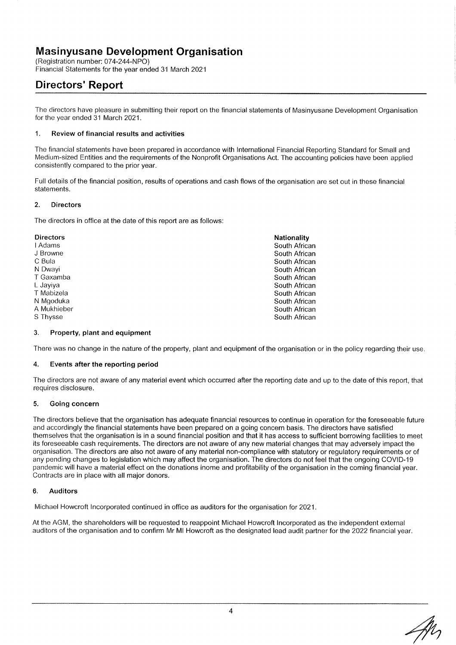(Registration number: 074-244-NPO) Financial Statements for the year ended 31 March 2021

## **Directors' Report**

The directors have pleasure in submitting their report on the financial statements of Masinyusane Development Organisation for the year ended 31 March 2021.

#### $\mathbf{1}$ . Review of financial results and activities

The financial statements have been prepared in accordance with International Financial Reporting Standard for Small and Medium-sized Entities and the requirements of the Nonprofit Organisations Act. The accounting policies have been applied consistently compared to the prior year.

Full details of the financial position, results of operations and cash flows of the organisation are set out in these financial statements.

#### $\overline{2}$ **Directors**

The directors in office at the date of this report are as follows:

| <b>Directors</b> | <b>Nationality</b> |
|------------------|--------------------|
| I Adams          | South African      |
| J Browne         | South African      |
| C Bula           | South African      |
| N Dwayi          | South African      |
| T Gaxamba        | South African      |
| L Javiya         | South African      |
| T Mabizela       | South African      |
| N Mgoduka        | South African      |
| A Mukhieber      | South African      |
| S Thysse         | South African      |

#### 3. Property, plant and equipment

There was no change in the nature of the property, plant and equipment of the organisation or in the policy regarding their use.

#### $\overline{4}$ . Events after the reporting period

The directors are not aware of any material event which occurred after the reporting date and up to the date of this report, that requires disclosure.

#### 5. Going concern

The directors believe that the organisation has adequate financial resources to continue in operation for the foreseeable future and accordingly the financial statements have been prepared on a going concern basis. The directors have satisfied themselves that the organisation is in a sound financial position and that it has access to sufficient borrowing facilities to meet its foreseeable cash requirements. The directors are not aware of any new material changes that may adversely impact the organisation. The directors are also not aware of any material non-compliance with statutory or regulatory requirements or of any pending changes to legislation which may affect the organisation. The directors do not feel that the ongoing COVID-19 pandemic will have a material effect on the donations inome and profitability of the organisation in the coming financial year. Contracts are in place with all major donors.

#### 6. Auditors

Michael Howcroft Incorporated continued in office as auditors for the organisation for 2021.

At the AGM, the shareholders will be requested to reappoint Michael Howcroft Incorporated as the independent external auditors of the organisation and to confirm Mr MI Howcroft as the designated lead audit partner for the 2022 financial year.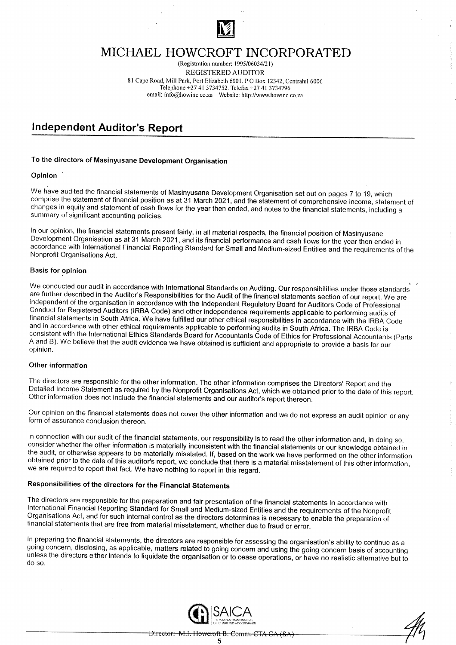

## MICHAEL HOWCROFT INCORPORATED

(Registration number: 1995/06034/21) **REGISTERED AUDITOR** 81 Cape Road, Mill Park, Port Elizabeth 6001. PO Box 12342, Centrahil 6006 Telephone +27 41 3734752. Telefax +27 41 3734796 

## **Independent Auditor's Report**

## To the directors of Masinyusane Development Organisation

#### Opinion

We have audited the financial statements of Masinyusane Development Organisation set out on pages 7 to 19, which comprise the statement of financial position as at 31 March 2021, and the statement of comprehensive income, statement of changes in equity and statement of cash flows for the year then ended, and notes to the financial statements, including a summary of significant accounting policies.

In our opinion, the financial statements present fairly, in all material respects, the financial position of Masinyusane Development Organisation as at 31 March 2021, and its financial performance and cash flows for the year then ended in accordance with international Financial Reporting Standard for Small and Medium-sized Entities and the requirements of the Nonprofit Organisations Act.

#### **Basis for opinion**

We conducted our audit in accordance with International Standards on Auditing. Our responsibilities under those standards are further described in the Auditor's Responsibilities for the Audit of the financial statements section of our report. We are independent of the organisation in accordance with the Independent Regulatory Board for Auditors Code of Professional Conduct for Registered Auditors (IRBA Code) and other independence requirements applicable to performing audits of financial statements in South Africa. We have fulfilled our other ethical responsibilities in accordance with the IRBA Code and in accordance with other ethical requirements applicable to performing audits in South Africa. The IRBA Code is consistent with the International Ethics Standards Board for Accountants Code of Ethics for Professional Accountants (Parts A and B). We believe that the audit evidence we have obtained is sufficient and appropriate to provide a basis for our opinion.

#### Other information

The directors are responsible for the other information. The other information comprises the Directors' Report and the Detailed Income Statement as required by the Nonprofit Organisations Act, which we obtained prior to the date of this report. Other information does not include the financial statements and our auditor's report thereon.

Our opinion on the financial statements does not cover the other information and we do not express an audit opinion or any form of assurance conclusion thereon.

In connection with our audit of the financial statements, our responsibility is to read the other information and, in doing so, consider whether the other information is materially inconsistent with the financial statements or our knowledge obtained in the audit, or otherwise appears to be materially misstated. If, based on the work we have performed on the other information obtained prior to the date of this auditor's report, we conclude that there is a material misstatement of this other information, we are required to report that fact. We have nothing to report in this regard.

## Responsibilities of the directors for the Financial Statements

The directors are responsible for the preparation and fair presentation of the financial statements in accordance with International Financial Reporting Standard for Small and Medium-sized Entities and the requirements of the Nonprofit Organisations Act, and for such internal control as the directors determines is necessary to enable the preparation of financial statements that are free from material misstatement, whether due to fraud or error.

In preparing the financial statements, the directors are responsible for assessing the organisation's ability to continue as a going concern, disclosing, as applicable, matters related to going concern and using the going concern basis of accounting unless the directors either intends to liquidate the organisation or to cease operations, or have no realistic alternative but to do so.



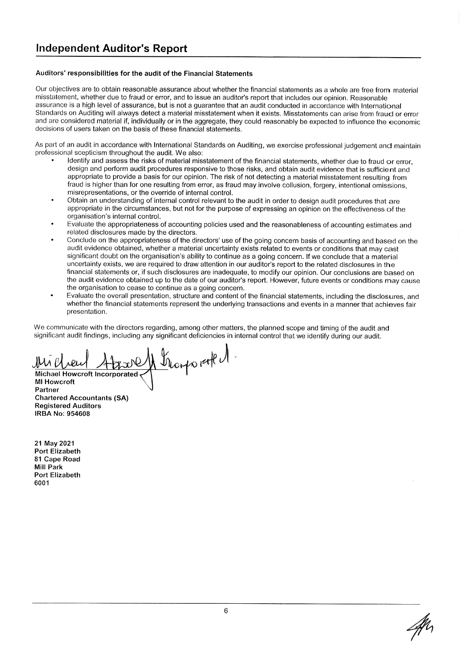#### Auditors' responsibilities for the audit of the Financial Statements

Our obiectives are to obtain reasonable assurance about whether the financial statements as a whole are free from material misstatement, whether due to fraud or error, and to issue an auditor's report that includes our opinion. Reasonable assurance is a high level of assurance, but is not a guarantee that an audit conducted in accordance with International Standards on Auditing will always detect a material misstatement when it exists. Misstatements can arise from fraud or error and are considered material if, individually or in the aggregate, they could reasonably be expected to influence the economic decisions of users taken on the basis of these financial statements.

As part of an audit in accordance with International Standards on Auditing, we exercise professional judgement and maintain professional scepticism throughout the audit. We also:

- Identify and assess the risks of material misstatement of the financial statements, whether due to fraud or error, design and perform audit procedures responsive to those risks, and obtain audit evidence that is sufficient and appropriate to provide a basis for our opinion. The risk of not detecting a material misstatement resulting from fraud is higher than for one resulting from error, as fraud may involve collusion, forgery, intentional omissions, misrepresentations, or the override of internal control.
- Obtain an understanding of internal control relevant to the audit in order to design audit procedures that are appropriate in the circumstances, but not for the purpose of expressing an opinion on the effectiveness of the organisation's internal control.
- Evaluate the appropriateness of accounting policies used and the reasonableness of accounting estimates and related disclosures made by the directors.
- Conclude on the appropriateness of the directors' use of the going concern basis of accounting and based on the audit evidence obtained, whether a material uncertainty exists related to events or conditions that may cast significant doubt on the organisation's ability to continue as a going concern. If we conclude that a material uncertainty exists, we are required to draw attention in our auditor's report to the related disclosures in the financial statements or, if such disclosures are inadequate, to modify our opinion. Our conclusions are based on the audit evidence obtained up to the date of our auditor's report. However, future events or conditions may cause the organisation to cease to continue as a going concern.
- Evaluate the overall presentation, structure and content of the financial statements, including the disclosures, and whether the financial statements represent the underlying transactions and events in a manner that achieves fair presentation.

We communicate with the directors regarding, among other matters, the planned scope and timing of the audit and significant audit findings, including any significant deficiencies in internal control that we identify during our audit.

A transported Michael Howcroft Incorporated

**MI Howcroft** Partner **Chartered Accountants (SA) Registered Auditors IRBA No: 954608** 

21 May 2021 **Port Elizabeth** 81 Cape Road **Mill Park Port Elizabeth** 6001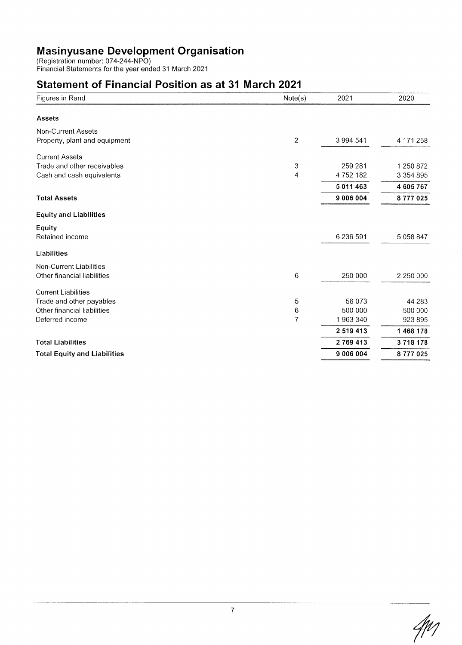## **Statement of Financial Position as at 31 March 2021**

| Figures in Rand                     | Note(s)          | 2021      | 2020          |
|-------------------------------------|------------------|-----------|---------------|
| <b>Assets</b>                       |                  |           |               |
| <b>Non-Current Assets</b>           |                  |           |               |
| Property, plant and equipment       | $\overline{2}$   | 3 994 541 | 4 171 258     |
| <b>Current Assets</b>               |                  |           |               |
| Trade and other receivables         | $\boldsymbol{3}$ | 259 281   | 1 250 872     |
| Cash and cash equivalents           | 4                | 4752182   | 3 3 5 4 8 9 5 |
|                                     |                  | 5 011 463 | 4 605 767     |
| <b>Total Assets</b>                 |                  | 9 006 004 | 8777025       |
| <b>Equity and Liabilities</b>       |                  |           |               |
| Equity                              |                  |           |               |
| Retained income                     |                  | 6 236 591 | 5 0 5 8 8 4 7 |
| Liabilities                         |                  |           |               |
| Non-Current Liabilities             |                  |           |               |
| Other financial liabilities         | 6                | 250 000   | 2 250 000     |
| <b>Current Liabilities</b>          |                  |           |               |
| Trade and other payables            | 5                | 56 073    | 44 283        |
| Other financial liabilities         | 6                | 500 000   | 500 000       |
| Deferred income                     | $\overline{7}$   | 1963340   | 923 895       |
|                                     |                  | 2 519 413 | 1 468 178     |
| <b>Total Liabilities</b>            |                  | 2769413   | 3718178       |
| <b>Total Equity and Liabilities</b> |                  | 9 006 004 | 8777025       |

 $4\nu$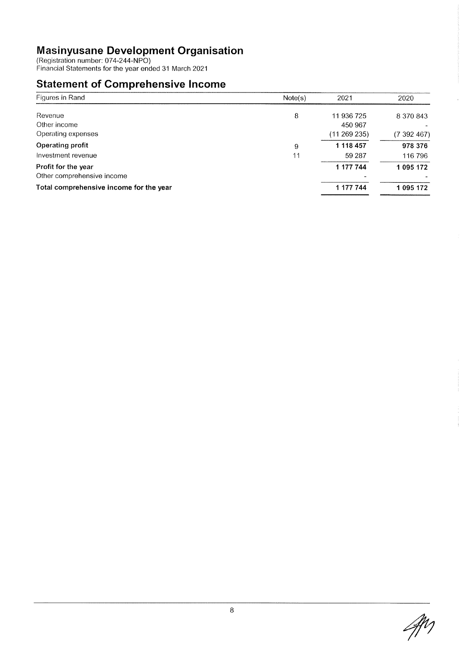## **Statement of Comprehensive Income**

| Figures in Rand                         | Note(s) | 2021       | 2020      |
|-----------------------------------------|---------|------------|-----------|
| Revenue                                 | 8       | 11 936 725 | 8 370 843 |
| Other income                            |         | 450 967    |           |
| Operating expenses                      |         | (11269235) | (7392467) |
| <b>Operating profit</b>                 | 9       | 1 118 457  | 978 376   |
| Investment revenue                      | 11      | 59 287     | 116 796   |
| Profit for the year                     |         | 1 177 744  | 1 095 172 |
| Other comprehensive income              |         |            |           |
| Total comprehensive income for the year |         | 1 177 744  | 1 095 172 |
|                                         |         |            |           |

 $\mathscr{H}$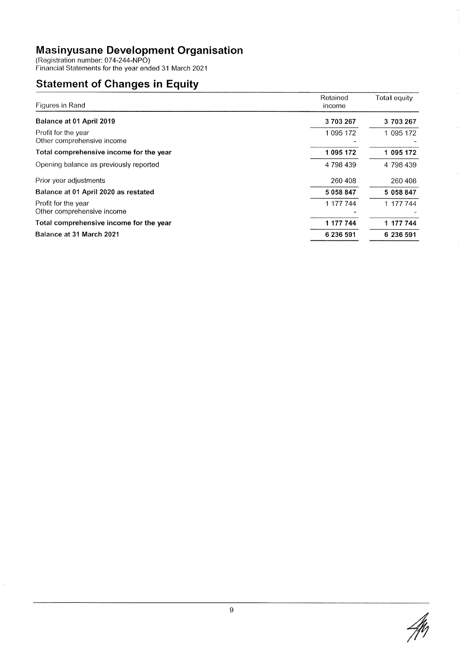## **Statement of Changes in Equity**

| Figures in Rand                                   | Retained<br>income | Total equity |
|---------------------------------------------------|--------------------|--------------|
| Balance at 01 April 2019                          | 3703267            | 3 703 267    |
| Profit for the year<br>Other comprehensive income | 1 095 172          | 1 095 172    |
| Total comprehensive income for the year           | 1 095 172          | 1 095 172    |
| Opening balance as previously reported            | 4 798 439          | 4 798 439    |
| Prior year adjustments                            | 260 408            | 260 408      |
| Balance at 01 April 2020 as restated              | 5058847            | 5 058 847    |
| Profit for the year<br>Other comprehensive income | 1 177 744          | 1 177 744    |
| Total comprehensive income for the year           | 1 177 744          | 1 177 744    |
| Balance at 31 March 2021                          | 6 236 591          | 6 236 591    |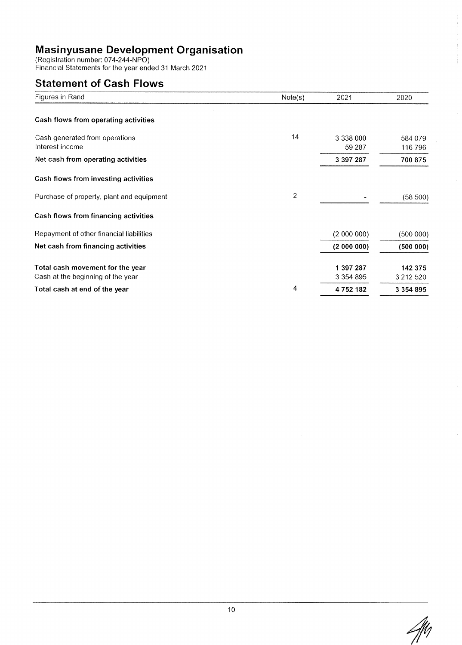## **Statement of Cash Flows**

| Figures in Rand                           | Note(s)        | 2021          | 2020          |
|-------------------------------------------|----------------|---------------|---------------|
| Cash flows from operating activities      |                |               |               |
| Cash generated from operations            | 14             | 3 338 000     | 584 079       |
| Interest income                           |                | 59 287        | 116 796       |
| Net cash from operating activities        |                | 3 397 287     | 700 875       |
| Cash flows from investing activities      |                |               |               |
| Purchase of property, plant and equipment | $\overline{2}$ |               | (58 500)      |
| Cash flows from financing activities      |                |               |               |
| Repayment of other financial liabilities  |                | (2000000)     | (500000)      |
| Net cash from financing activities        |                | (2000000)     | (500000)      |
| Total cash movement for the year          |                | 1 397 287     | 142 375       |
| Cash at the beginning of the year         |                | 3 3 5 4 8 9 5 | 3 2 1 2 5 2 0 |
| Total cash at end of the year             | 4              | 4752182       | 3 3 5 4 8 9 5 |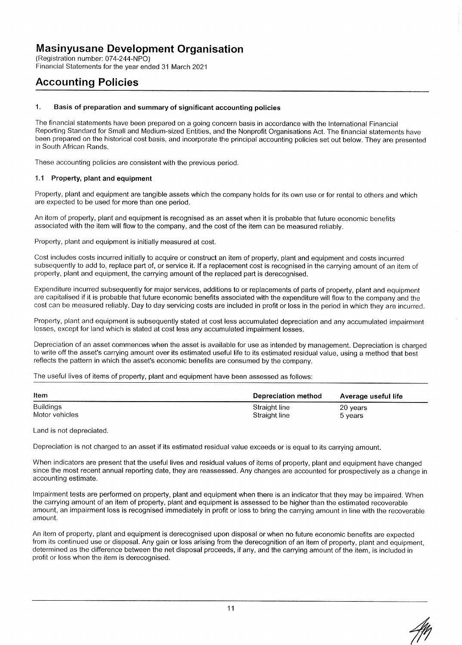(Registration number: 074-244-NPO) Financial Statements for the year ended 31 March 2021

## **Accounting Policies**

#### $\ddagger$ . Basis of preparation and summary of significant accounting policies

The financial statements have been prepared on a going concern basis in accordance with the International Financial Reporting Standard for Small and Medium-sized Entities, and the Nonprofit Organisations Act. The financial statements have been prepared on the historical cost basis, and incorporate the principal accounting policies set out below. They are presented in South African Rands.

These accounting policies are consistent with the previous period.

#### 1.1 Property, plant and equipment

Property, plant and equipment are tangible assets which the company holds for its own use or for rental to others and which are expected to be used for more than one period.

An item of property, plant and equipment is recognised as an asset when it is probable that future economic benefits associated with the item will flow to the company, and the cost of the item can be measured reliably.

Property, plant and equipment is initially measured at cost.

Cost includes costs incurred initially to acquire or construct an item of property, plant and equipment and costs incurred subsequently to add to, replace part of, or service it. If a replacement cost is recognised in the carrying amount of an item of property, plant and equipment, the carrying amount of the replaced part is derecognised.

Expenditure incurred subsequently for major services, additions to or replacements of parts of property, plant and equipment are capitalised if it is probable that future economic benefits associated with the expenditure will flow to the company and the cost can be measured reliably. Day to day servicing costs are included in profit or loss in the period in which they are incurred.

Property, plant and equipment is subsequently stated at cost less accumulated depreciation and any accumulated impairment losses, except for land which is stated at cost less any accumulated impairment losses.

Depreciation of an asset commences when the asset is available for use as intended by management. Depreciation is charged to write off the asset's carrying amount over its estimated useful life to its estimated residual value, using a method that best reflects the pattern in which the asset's economic benefits are consumed by the company.

The useful lives of items of property, plant and equipment have been assessed as follows:

| Item             | Depreciation method | Average useful life |
|------------------|---------------------|---------------------|
| <b>Buildings</b> | Straight line       | 20 years            |
| Motor vehicles   | Straight line       | 5 years             |

Land is not depreciated.

Depreciation is not charged to an asset if its estimated residual value exceeds or is equal to its carrying amount.

When indicators are present that the useful lives and residual values of items of property, plant and equipment have changed since the most recent annual reporting date, they are reassessed. Any changes are accounted for prospectively as a change in accounting estimate.

Impairment tests are performed on property, plant and equipment when there is an indicator that they may be impaired. When the carrying amount of an item of property, plant and equipment is assessed to be higher than the estimated recoverable amount, an impairment loss is recognised immediately in profit or loss to bring the carrying amount in line with the recoverable amount.

An item of property, plant and equipment is derecognised upon disposal or when no future economic benefits are expected from its continued use or disposal. Any gain or loss arising from the derecognition of an item of property, plant and equipment, determined as the difference between the net disposal proceeds, if any, and the carrying amount of the item, is included in profit or loss when the item is derecognised.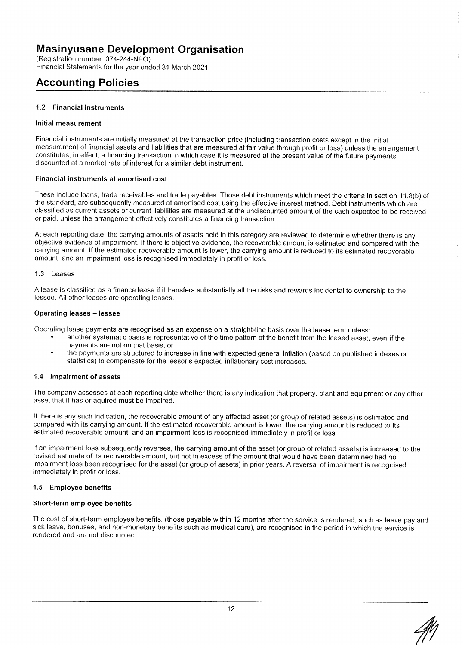(Registration number: 074-244-NPO) Financial Statements for the year ended 31 March 2021

## **Accounting Policies**

#### 1.2 Financial instruments

#### Initial measurement

Financial instruments are initially measured at the transaction price (including transaction costs except in the initial measurement of financial assets and liabilities that are measured at fair value through profit or loss) unless the arrangement constitutes, in effect, a financing transaction in which case it is measured at the present value of the future payments discounted at a market rate of interest for a similar debt instrument.

#### Financial instruments at amortised cost

These include loans, trade receivables and trade payables. Those debt instruments which meet the criteria in section 11.8(b) of the standard, are subsequently measured at amortised cost using the effective interest method. Debt instruments which are classified as current assets or current liabilities are measured at the undiscounted amount of the cash expected to be received or paid, unless the arrangement effectively constitutes a financing transaction.

At each reporting date, the carrying amounts of assets held in this category are reviewed to determine whether there is any objective evidence of impairment. If there is objective evidence, the recoverable amount is estimated and compared with the carrying amount. If the estimated recoverable amount is lower, the carrying amount is reduced to its estimated recoverable amount, and an impairment loss is recognised immediately in profit or loss.

#### 1.3 Leases

A lease is classified as a finance lease if it transfers substantially all the risks and rewards incidental to ownership to the lessee. All other leases are operating leases.

#### **Operating leases - lessee**

Operating lease payments are recognised as an expense on a straight-line basis over the lease term unless:

- another systematic basis is representative of the time pattern of the benefit from the leased asset, even if the payments are not on that basis, or
- the payments are structured to increase in line with expected general inflation (based on published indexes or statistics) to compensate for the lessor's expected inflationary cost increases.

#### 1.4 Impairment of assets

The company assesses at each reporting date whether there is any indication that property, plant and equipment or any other asset that it has or aquired must be impaired.

If there is any such indication, the recoverable amount of any affected asset (or group of related assets) is estimated and compared with its carrving amount. If the estimated recoverable amount is lower, the carrying amount is reduced to its estimated recoverable amount, and an impairment loss is recognised immediately in profit or loss.

If an impairment loss subsequently reverses, the carrying amount of the asset (or group of related assets) is increased to the revised estimate of its recoverable amount, but not in excess of the amount that would have been determined had no impairment loss been recognised for the asset (or group of assets) in prior years. A reversal of impairment is recognised immediately in profit or loss.

### 1.5 Employee benefits

#### Short-term employee benefits

The cost of short-term employee benefits, (those payable within 12 months after the service is rendered, such as leave pay and sick leave, bonuses, and non-monetary benefits such as medical care), are recognised in the period in which the service is rendered and are not discounted.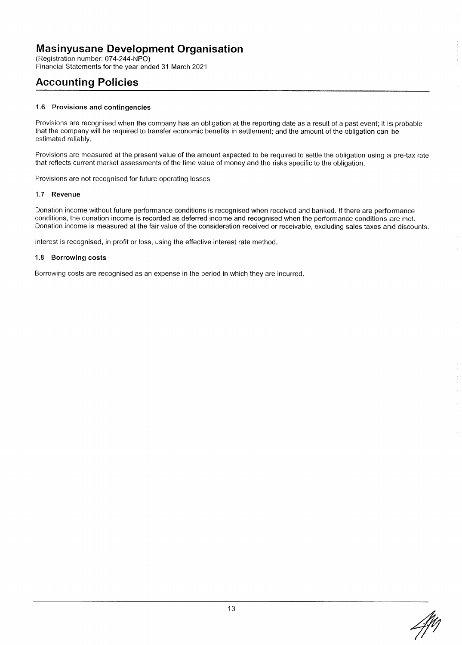(Registration number: 074-244-NPO) Financial Statements for the year ended 31 March 2021

## **Accounting Policies**

### 1.6 Provisions and contingencies

Provisions are recognised when the company has an obligation at the reporting date as a result of a past event; it is probable that the company will be required to transfer economic benefits in settlement; and the amount of the obligation can be estimated reliably.

Provisions are measured at the present value of the amount expected to be required to settle the obligation using a pre-tax rate that reflects current market assessments of the time value of money and the risks specific to the obligation.

Provisions are not recognised for future operating losses.

#### 1.7 Revenue

Donation income without future performance conditions is recognised when received and banked. If there are performance conditions, the donation income is recorded as deferred income and recognised when the performance conditions are met. Donation income is measured at the fair value of the consideration received or receivable, excluding sales taxes and discounts.

Interest is recognised, in profit or loss, using the effective interest rate method.

#### 1.8 Borrowing costs

Borrowing costs are recognised as an expense in the period in which they are incurred.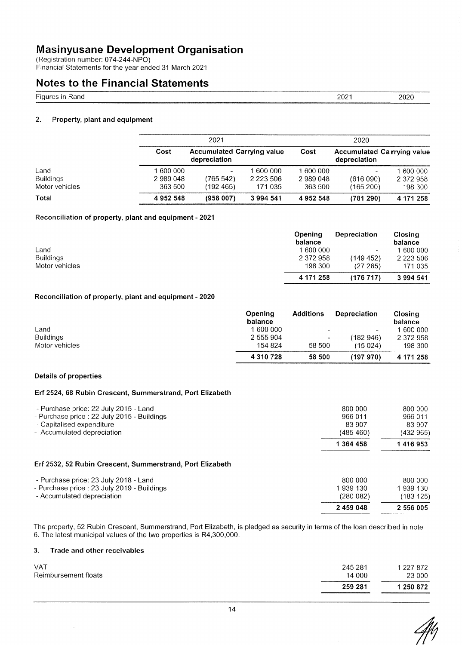# Masinyusane Development Organisation<br>(Registration number: 074-244-NPO)

Financial Statements for the year ended 31 March 2021

## **Notes to the Financial Statements**

| Figures<br>'^י<br>≺and<br>- 1100<br>- 111<br>-- 12 E |                                                                                                                 |             |  |
|------------------------------------------------------|-----------------------------------------------------------------------------------------------------------------|-------------|--|
| the contract of the contract of the                  | the contract of the contract of the contract of the contract of the contract of the contract of the contract of | ZUZ<br>____ |  |

#### $2.$ Property, plant and equipment

|                  |           | 2021                                              |               |           | 2020         |                                   |
|------------------|-----------|---------------------------------------------------|---------------|-----------|--------------|-----------------------------------|
|                  | Cost      | <b>Accumulated Carrying value</b><br>depreciation |               | Cost      | depreciation | <b>Accumulated Carrying value</b> |
| ∟and             | 1 600 000 |                                                   | 600 000       | 1 600 000 |              | 1 600 000                         |
| <b>Buildings</b> | 2989048   | (765 542)                                         | 2 2 2 3 5 0 6 | 2 989 048 | (616090)     | 2 372 958                         |
| Motor vehicles   | 363 500   | (192 465)                                         | 171 035       | 363 500   | (165 200)    | 198 300                           |
| Total            | 4952548   | (958007)                                          | 3 994 541     | 4952548   | (781290)     | 4 171 258                         |

## Reconciliation of property, plant and equipment - 2021

|                  | Opening<br>balance | <b>Depreciation</b>      | <b>Closing</b><br>balance |
|------------------|--------------------|--------------------------|---------------------------|
| Land             | 1 600 000          | $\overline{\phantom{a}}$ | 1 600 000                 |
| <b>Buildings</b> | 2 372 958          | (149452)                 | 2 2 2 3 5 0 6             |
| Motor vehicles   | 198 300            | (27265)                  | 171 035                   |
|                  | 4 171 258          | (176 717)                | 3 994 541                 |

## Reconciliation of property, plant and equipment - 2020

|                  | Openina<br>balance | <b>Additions</b>         | Depreciation | Closing<br>balance |
|------------------|--------------------|--------------------------|--------------|--------------------|
| ∟and             | 1 600 000          | $\overline{\phantom{0}}$ |              | 1 600 000          |
| <b>Buildings</b> | 2 555 904          | $\blacksquare$           | (182 946)    | 2 372 958          |
| Motor vehicles   | 154 824            | 58 500                   | (15 024)     | 198 300            |
|                  | 4 310 728          | 58 500                   | (19797)      | 4 171 258          |

#### **Details of properties**

#### Erf 2524, 68 Rubin Crescent, Summerstrand, Port Elizabeth

| - Purchase price: 22 July 2015 - Land       | 800 000    | 800 000  |
|---------------------------------------------|------------|----------|
| - Purchase price : 22 July 2015 - Buildings | 966 011    | 966 011  |
| - Capitalised expenditure                   | 83.907     | 83 907   |
| - Accumulated depreciation                  | (485, 460) | (432965) |
|                                             | 1 364 458  | 1416953  |
|                                             |            |          |

### Erf 2532, 52 Rubin Crescent, Summerstrand, Port Elizabeth

|                                                                           | 2459048               | 2 556 005              |
|---------------------------------------------------------------------------|-----------------------|------------------------|
| - Purchase price : 23 July 2019 - Buildings<br>- Accumulated depreciation | 1 939 130<br>(280082) | 1 939 130<br>(183 125) |
| - Purchase price: 23 July 2018 - Land                                     | 800 000               | 800 000                |

The property, 52 Rubin Crescent, Summerstrand, Port Elizabeth, is pledged as security in terms of the loan described in note 6. The latest municipal values of the two properties is R4,300,000.

#### $\overline{3}$ . Trade and other receivables

| Reimbursement floats | 14 000<br>259 281 | 23 000<br>1 250 872 |
|----------------------|-------------------|---------------------|
|                      |                   |                     |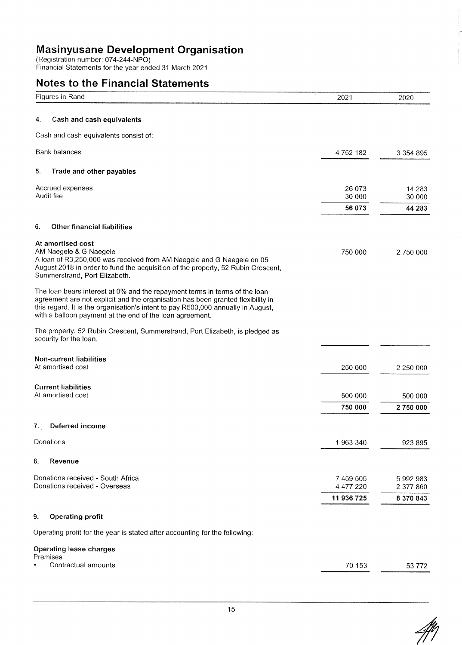## **Notes to the Financial Statements**

|    | Figures in Rand                                                                                                                                                                                                                                                                                               | 2021                    | 2020                   |
|----|---------------------------------------------------------------------------------------------------------------------------------------------------------------------------------------------------------------------------------------------------------------------------------------------------------------|-------------------------|------------------------|
| 4. | Cash and cash equivalents                                                                                                                                                                                                                                                                                     |                         |                        |
|    | Cash and cash equivalents consist of:                                                                                                                                                                                                                                                                         |                         |                        |
|    | <b>Bank balances</b>                                                                                                                                                                                                                                                                                          | 4 752 182               | 3 3 5 4 8 9 5          |
|    |                                                                                                                                                                                                                                                                                                               |                         |                        |
| 5. | Trade and other payables                                                                                                                                                                                                                                                                                      |                         |                        |
|    | Accrued expenses<br>Audit fee                                                                                                                                                                                                                                                                                 | 26 073<br>30 000        | 14 2 8 3<br>30 000     |
|    |                                                                                                                                                                                                                                                                                                               | 56 073                  | 44 283                 |
| 6. | Other financial liabilities                                                                                                                                                                                                                                                                                   |                         |                        |
|    |                                                                                                                                                                                                                                                                                                               |                         |                        |
|    | At amortised cost<br>AM Naegele & G Naegele<br>A loan of R3,250,000 was received from AM Naegele and G Naegele on 05<br>August 2018 in order to fund the acquisition of the property, 52 Rubin Crescent,<br>Summerstrand, Port Elizabeth.                                                                     | 750 000                 | 2 750 000              |
|    | The loan bears interest at 0% and the repayment terms in terms of the loan<br>agreement are not explicit and the organisation has been granted flexibility in<br>this regard. It is the organisation's intent to pay R500,000 annually in August,<br>with a balloon payment at the end of the loan agreement. |                         |                        |
|    | The property, 52 Rubin Crescent, Summerstrand, Port Elizabeth, is pledged as<br>security for the loan.                                                                                                                                                                                                        |                         |                        |
|    | <b>Non-current liabilities</b><br>At amortised cost                                                                                                                                                                                                                                                           | 250 000                 | 2 250 000              |
|    | <b>Current liabilities</b>                                                                                                                                                                                                                                                                                    |                         |                        |
|    | At amortised cost                                                                                                                                                                                                                                                                                             | 500 000                 | 500 000                |
|    |                                                                                                                                                                                                                                                                                                               | 750 000                 | 2750000                |
| 7. | Deferred income                                                                                                                                                                                                                                                                                               |                         |                        |
|    | Donations                                                                                                                                                                                                                                                                                                     | 1963340                 | 923 895                |
| 8. | Revenue                                                                                                                                                                                                                                                                                                       |                         |                        |
|    | Donations received - South Africa                                                                                                                                                                                                                                                                             | 7 459 505               | 5992983                |
|    | Donations received - Overseas                                                                                                                                                                                                                                                                                 | 4 477 220<br>11 936 725 | 2 377 860<br>8 370 843 |
|    |                                                                                                                                                                                                                                                                                                               |                         |                        |
| 9. | <b>Operating profit</b>                                                                                                                                                                                                                                                                                       |                         |                        |
|    | Operating profit for the year is stated after accounting for the following:                                                                                                                                                                                                                                   |                         |                        |
|    | <b>Operating lease charges</b>                                                                                                                                                                                                                                                                                |                         |                        |
|    | Premises<br>Contractual amounts                                                                                                                                                                                                                                                                               | 70 153                  | 53 772                 |

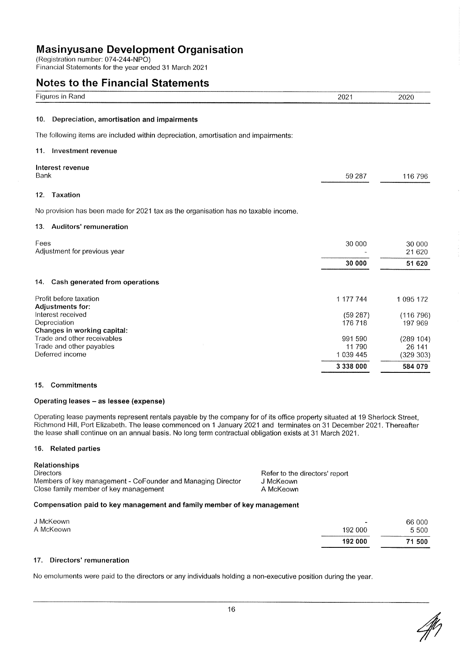(Registration number: 074-244-NPO) Financial Statements for the year ended 31 March 2021

## Notes to the Financial Statements

| NULLES LU LIIE I IIIANUM ULALENIENIS                                                |                                 |                                  |
|-------------------------------------------------------------------------------------|---------------------------------|----------------------------------|
| Figures in Rand                                                                     | 2021                            | 2020                             |
| Depreciation, amortisation and impairments<br>10.                                   |                                 |                                  |
| The following items are included within depreciation, amortisation and impairments: |                                 |                                  |
| 11. Investment revenue                                                              |                                 |                                  |
| Interest revenue<br>Bank                                                            | 59 287                          | 116 796                          |
| Taxation<br>12.                                                                     |                                 |                                  |
| No provision has been made for 2021 tax as the organisation has no taxable income.  |                                 |                                  |
| 13. Auditors' remuneration                                                          |                                 |                                  |
| Fees<br>Adjustment for previous year                                                | 30 000                          | 30 000<br>21 6 20                |
|                                                                                     | 30 000                          | 51 620                           |
| 14. Cash generated from operations                                                  |                                 |                                  |
| Profit before taxation<br><b>Adjustments for:</b>                                   | 1 177 744                       | 1 095 172                        |
| Interest received<br>Depreciation<br>Changes in working capital:                    | (59287)<br>176 718              | (116796)<br>197 969              |
| Trade and other receivables<br>Trade and other payables<br>Deferred income          | 991 590<br>11790<br>1 0 39 4 45 | (289 104)<br>26 141<br>(329 303) |
|                                                                                     | 3 338 000                       | 584 079                          |

#### 15. Commitments

#### Operating leases - as lessee (expense)

Operating lease payments represent rentals payable by the company for of its office property situated at 19 Sherlock Street, Richmond Hill, Port Elizabeth. The lease commenced on 1 January 2021 and terminates on 31 December 2021. Thereafter the lease shall continue on an annual basis. No long term contractual obligation exists at 31 March 2021.

#### 16. Related parties

| Relationships                                               |                                |
|-------------------------------------------------------------|--------------------------------|
| Directors                                                   | Refer to the directors' report |
| Members of key management - CoFounder and Managing Director | J McKeown                      |
| Close family member of key management                       | A McKeown                      |

#### Compensation paid to key management and family member of key management

|           | 192 000 | 71 500 |
|-----------|---------|--------|
| A McKeown | 192 000 | 5 500  |
| J McKeown | $-$     | 66 000 |

#### 17. Directors' remuneration

No emoluments were paid to the directors or any individuals holding a non-executive position during the year.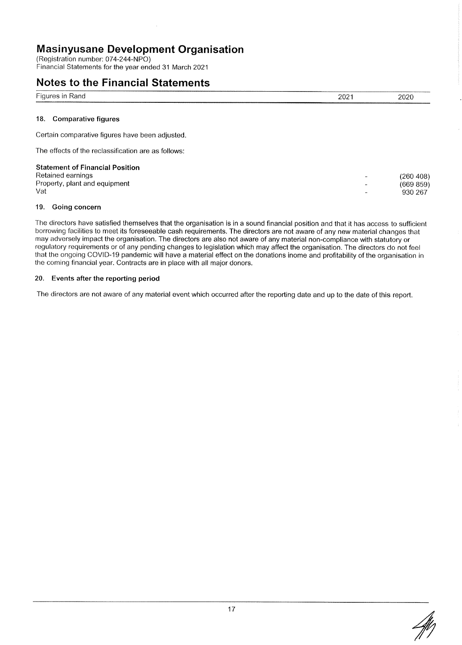(Registration number: 074-244-NPO) Financial Statements for the year ended 31 March 2021

## **Notes to the Financial Statements**

| Figures in Rand                                             | 2021 | 2020      |
|-------------------------------------------------------------|------|-----------|
| Comparative figures<br>18.                                  |      |           |
| Certain comparative figures have been adjusted.             |      |           |
| The effects of the reclassification are as follows:         |      |           |
| <b>Statement of Financial Position</b><br>Retained earnings |      | (260 408) |
| Property, plant and equipment                               |      | (669 859) |

Vat

### 19. Going concern

The directors have satisfied themselves that the organisation is in a sound financial position and that it has access to sufficient borrowing facilities to meet its foreseeable cash requirements. The directors are not aware of any new material changes that may adversely impact the organisation. The directors are also not aware of any material non-compliance with statutory or regulatory requirements or of any pending changes to legislation which may affect the organisation. The directors do not feel that the ongoing COVID-19 pandemic will have a material effect on the donations inome and profitability of the organisation in the coming financial year. Contracts are in place with all major donors.

### 20. Events after the reporting period

The directors are not aware of any material event which occurred after the reporting date and up to the date of this report.



 $930.267$